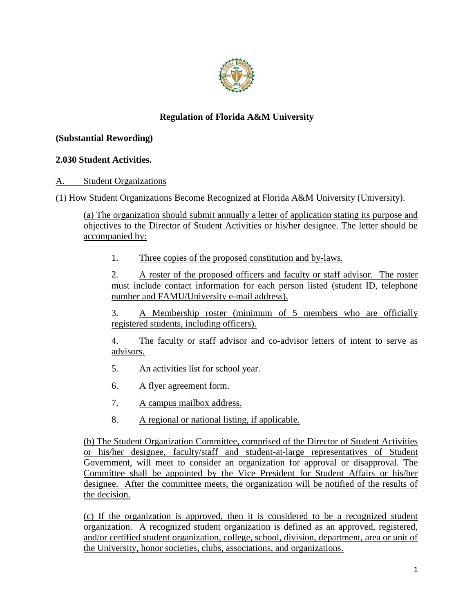

# **Regulation of Florida A&M University**

### **(Substantial Rewording)**

## **2.030 Student Activities.**

A. Student Organizations

(1) How Student Organizations Become Recognized at Florida A&M University (University).

(a) The organization should submit annually a letter of application stating its purpose and objectives to the Director of Student Activities or his/her designee. The letter should be accompanied by:

1. Three copies of the proposed constitution and by-laws.

2. A roster of the proposed officers and faculty or staff advisor. The roster must include contact information for each person listed (student ID, telephone number and FAMU/University e-mail address).

3. A Membership roster (minimum of 5 members who are officially registered students, including officers).

4. The faculty or staff advisor and co-advisor letters of intent to serve as advisors.

- 5. An activities list for school year.
- 6. A flyer agreement form.
- 7. A campus mailbox address.
- 8. A regional or national listing, if applicable.

(b) The Student Organization Committee, comprised of the Director of Student Activities or his/her designee, faculty/staff and student-at-large representatives of Student Government, will meet to consider an organization for approval or disapproval. The Committee shall be appointed by the Vice President for Student Affairs or his/her designee. After the committee meets, the organization will be notified of the results of the decision.

(c) If the organization is approved, then it is considered to be a recognized student organization. A recognized student organization is defined as an approved, registered, and/or certified student organization, college, school, division, department, area or unit of the University, honor societies, clubs, associations, and organizations.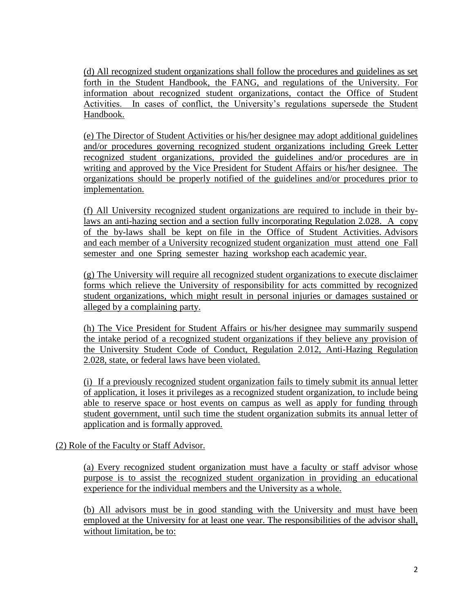(d) All recognized student organizations shall follow the procedures and guidelines as set forth in the Student Handbook, the FANG, and regulations of the University. For information about recognized student organizations, contact the Office of Student Activities. In cases of conflict, the University's regulations supersede the Student Handbook.

(e) The Director of Student Activities or his/her designee may adopt additional guidelines and/or procedures governing recognized student organizations including Greek Letter recognized student organizations, provided the guidelines and/or procedures are in writing and approved by the Vice President for Student Affairs or his/her designee. The organizations should be properly notified of the guidelines and/or procedures prior to implementation.

(f) All University recognized student organizations are required to include in their bylaws an anti-hazing section and a section fully incorporating Regulation 2.028. A copy of the by-laws shall be kept on file in the Office of Student Activities. Advisors and each member of a University recognized student organization must attend one Fall semester and one Spring semester hazing workshop each academic year.

(g) The University will require all recognized student organizations to execute disclaimer forms which relieve the University of responsibility for acts committed by recognized student organizations, which might result in personal injuries or damages sustained or alleged by a complaining party.

(h) The Vice President for Student Affairs or his/her designee may summarily suspend the intake period of a recognized student organizations if they believe any provision of the University Student Code of Conduct, Regulation 2.012, Anti-Hazing Regulation 2.028, state, or federal laws have been violated.

(i) If a previously recognized student organization fails to timely submit its annual letter of application, it loses it privileges as a recognized student organization, to include being able to reserve space or host events on campus as well as apply for funding through student government, until such time the student organization submits its annual letter of application and is formally approved.

### (2) Role of the Faculty or Staff Advisor.

(a) Every recognized student organization must have a faculty or staff advisor whose purpose is to assist the recognized student organization in providing an educational experience for the individual members and the University as a whole.

(b) All advisors must be in good standing with the University and must have been employed at the University for at least one year. The responsibilities of the advisor shall, without limitation, be to: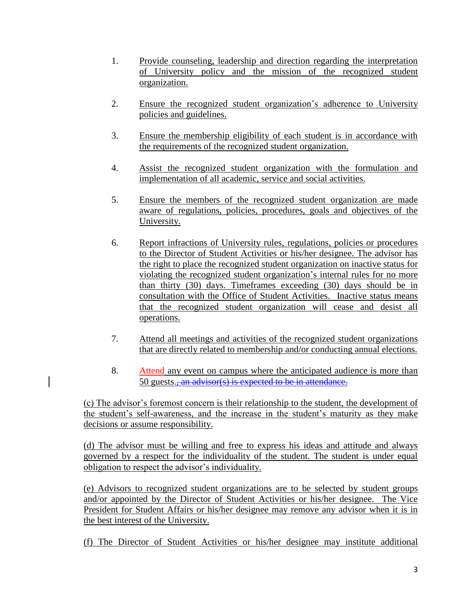- 1. Provide counseling, leadership and direction regarding the interpretation of University policy and the mission of the recognized student organization.
- 2. Ensure the recognized student organization's adherence to University policies and guidelines.
- 3. Ensure the membership eligibility of each student is in accordance with the requirements of the recognized student organization.
- 4. Assist the recognized student organization with the formulation and implementation of all academic, service and social activities.
- 5. Ensure the members of the recognized student organization are made aware of regulations, policies, procedures, goals and objectives of the University.
- 6. Report infractions of University rules, regulations, policies or procedures to the Director of Student Activities or his/her designee. The advisor has the right to place the recognized student organization on inactive status for violating the recognized student organization's internal rules for no more than thirty (30) days. Timeframes exceeding (30) days should be in consultation with the Office of Student Activities. Inactive status means that the recognized student organization will cease and desist all operations.
- 7. Attend all meetings and activities of the recognized student organizations that are directly related to membership and/or conducting annual elections.
- 8. Attend any event on campus where the anticipated audience is more than 50 guests.<del>, an advisor(s) is expected to be in attendance.</del>

(c) The advisor's foremost concern is their relationship to the student, the development of the student's self-awareness, and the increase in the student's maturity as they make decisions or assume responsibility.

(d) The advisor must be willing and free to express his ideas and attitude and always governed by a respect for the individuality of the student. The student is under equal obligation to respect the advisor's individuality.

(e) Advisors to recognized student organizations are to be selected by student groups and/or appointed by the Director of Student Activities or his/her designee. The Vice President for Student Affairs or his/her designee may remove any advisor when it is in the best interest of the University.

(f) The Director of Student Activities or his/her designee may institute additional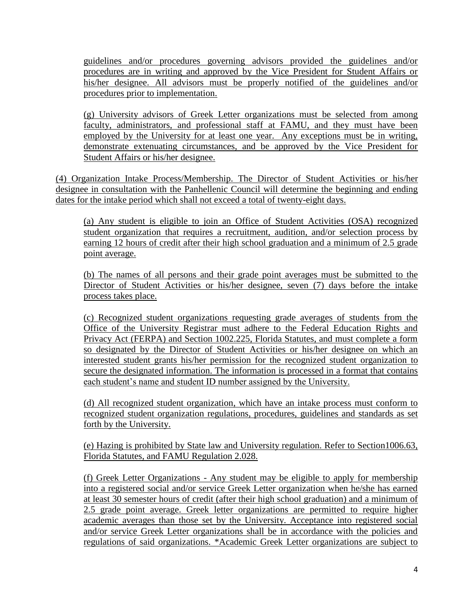guidelines and/or procedures governing advisors provided the guidelines and/or procedures are in writing and approved by the Vice President for Student Affairs or his/her designee. All advisors must be properly notified of the guidelines and/or procedures prior to implementation.

(g) University advisors of Greek Letter organizations must be selected from among faculty, administrators, and professional staff at FAMU, and they must have been employed by the University for at least one year. Any exceptions must be in writing, demonstrate extenuating circumstances, and be approved by the Vice President for Student Affairs or his/her designee.

(4) Organization Intake Process/Membership. The Director of Student Activities or his/her designee in consultation with the Panhellenic Council will determine the beginning and ending dates for the intake period which shall not exceed a total of twenty-eight days.

(a) Any student is eligible to join an Office of Student Activities (OSA) recognized student organization that requires a recruitment, audition, and/or selection process by earning 12 hours of credit after their high school graduation and a minimum of 2.5 grade point average.

(b) The names of all persons and their grade point averages must be submitted to the Director of Student Activities or his/her designee, seven (7) days before the intake process takes place.

(c) Recognized student organizations requesting grade averages of students from the Office of the University Registrar must adhere to the Federal Education Rights and Privacy Act (FERPA) and Section 1002.225, Florida Statutes, and must complete a form so designated by the Director of Student Activities or his/her designee on which an interested student grants his/her permission for the recognized student organization to secure the designated information. The information is processed in a format that contains each student's name and student ID number assigned by the University.

(d) All recognized student organization, which have an intake process must conform to recognized student organization regulations, procedures, guidelines and standards as set forth by the University.

(e) Hazing is prohibited by State law and University regulation. Refer to Section1006.63, Florida Statutes, and FAMU Regulation 2.028.

(f) Greek Letter Organizations - Any student may be eligible to apply for membership into a registered social and/or service Greek Letter organization when he/she has earned at least 30 semester hours of credit (after their high school graduation) and a minimum of 2.5 grade point average. Greek letter organizations are permitted to require higher academic averages than those set by the University. Acceptance into registered social and/or service Greek Letter organizations shall be in accordance with the policies and regulations of said organizations. \*Academic Greek Letter organizations are subject to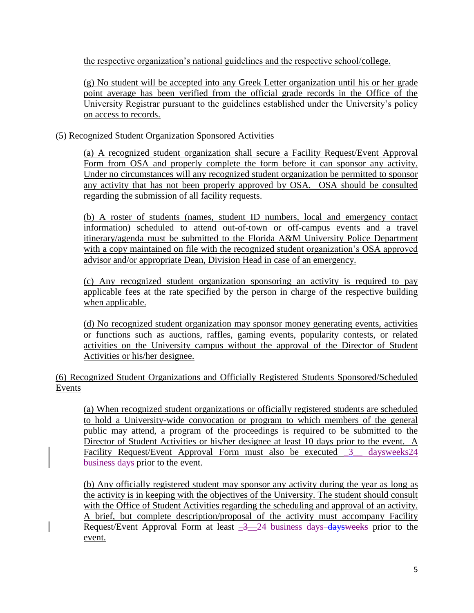the respective organization's national guidelines and the respective school/college.

(g) No student will be accepted into any Greek Letter organization until his or her grade point average has been verified from the official grade records in the Office of the University Registrar pursuant to the guidelines established under the University's policy on access to records.

(5) Recognized Student Organization Sponsored Activities

(a) A recognized student organization shall secure a Facility Request/Event Approval Form from OSA and properly complete the form before it can sponsor any activity. Under no circumstances will any recognized student organization be permitted to sponsor any activity that has not been properly approved by OSA. OSA should be consulted regarding the submission of all facility requests.

(b) A roster of students (names, student ID numbers, local and emergency contact information) scheduled to attend out-of-town or off-campus events and a travel itinerary/agenda must be submitted to the Florida A&M University Police Department with a copy maintained on file with the recognized student organization's OSA approved advisor and/or appropriate Dean, Division Head in case of an emergency.

(c) Any recognized student organization sponsoring an activity is required to pay applicable fees at the rate specified by the person in charge of the respective building when applicable.

(d) No recognized student organization may sponsor money generating events, activities or functions such as auctions, raffles, gaming events, popularity contests, or related activities on the University campus without the approval of the Director of Student Activities or his/her designee.

(6) Recognized Student Organizations and Officially Registered Students Sponsored/Scheduled Events

(a) When recognized student organizations or officially registered students are scheduled to hold a University-wide convocation or program to which members of the general public may attend, a program of the proceedings is required to be submitted to the Director of Student Activities or his/her designee at least 10 days prior to the event. A Facility Request/Event Approval Form must also be executed  $-3$  daysweeks24 business days prior to the event.

(b) Any officially registered student may sponsor any activity during the year as long as the activity is in keeping with the objectives of the University. The student should consult with the Office of Student Activities regarding the scheduling and approval of an activity. A brief, but complete description/proposal of the activity must accompany Facility Request/Event Approval Form at least  $-3$   $-24$  business days daysweeks prior to the event.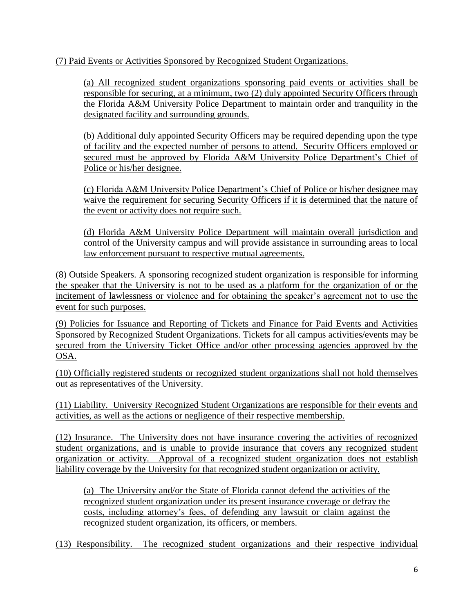(7) Paid Events or Activities Sponsored by Recognized Student Organizations.

(a) All recognized student organizations sponsoring paid events or activities shall be responsible for securing, at a minimum, two (2) duly appointed Security Officers through the Florida A&M University Police Department to maintain order and tranquility in the designated facility and surrounding grounds.

(b) Additional duly appointed Security Officers may be required depending upon the type of facility and the expected number of persons to attend. Security Officers employed or secured must be approved by Florida A&M University Police Department's Chief of Police or his/her designee.

(c) Florida A&M University Police Department's Chief of Police or his/her designee may waive the requirement for securing Security Officers if it is determined that the nature of the event or activity does not require such.

(d) Florida A&M University Police Department will maintain overall jurisdiction and control of the University campus and will provide assistance in surrounding areas to local law enforcement pursuant to respective mutual agreements.

(8) Outside Speakers. A sponsoring recognized student organization is responsible for informing the speaker that the University is not to be used as a platform for the organization of or the incitement of lawlessness or violence and for obtaining the speaker's agreement not to use the event for such purposes.

(9) Policies for Issuance and Reporting of Tickets and Finance for Paid Events and Activities Sponsored by Recognized Student Organizations. Tickets for all campus activities/events may be secured from the University Ticket Office and/or other processing agencies approved by the OSA.

(10) Officially registered students or recognized student organizations shall not hold themselves out as representatives of the University.

(11) Liability. University Recognized Student Organizations are responsible for their events and activities, as well as the actions or negligence of their respective membership.

(12) Insurance. The University does not have insurance covering the activities of recognized student organizations, and is unable to provide insurance that covers any recognized student organization or activity. Approval of a recognized student organization does not establish liability coverage by the University for that recognized student organization or activity.

(a) The University and/or the State of Florida cannot defend the activities of the recognized student organization under its present insurance coverage or defray the costs, including attorney's fees, of defending any lawsuit or claim against the recognized student organization, its officers, or members.

(13) Responsibility. The recognized student organizations and their respective individual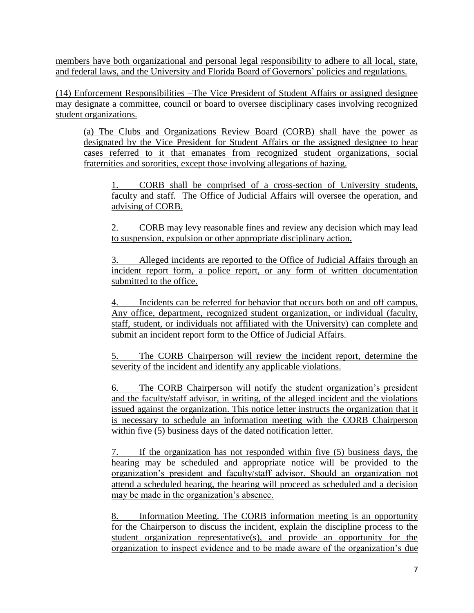members have both organizational and personal legal responsibility to adhere to all local, state, and federal laws, and the University and Florida Board of Governors' policies and regulations.

(14) Enforcement Responsibilities –The Vice President of Student Affairs or assigned designee may designate a committee, council or board to oversee disciplinary cases involving recognized student organizations.

(a) The Clubs and Organizations Review Board (CORB) shall have the power as designated by the Vice President for Student Affairs or the assigned designee to hear cases referred to it that emanates from recognized student organizations, social fraternities and sororities, except those involving allegations of hazing.

1. CORB shall be comprised of a cross-section of University students, faculty and staff. The Office of Judicial Affairs will oversee the operation, and advising of CORB.

2. CORB may levy reasonable fines and review any decision which may lead to suspension, expulsion or other appropriate disciplinary action.

3. Alleged incidents are reported to the Office of Judicial Affairs through an incident report form, a police report, or any form of written documentation submitted to the office.

4. Incidents can be referred for behavior that occurs both on and off campus. Any office, department, recognized student organization, or individual (faculty, staff, student, or individuals not affiliated with the University) can complete and submit an incident report form to the Office of Judicial Affairs.

5. The CORB Chairperson will review the incident report, determine the severity of the incident and identify any applicable violations.

6. The CORB Chairperson will notify the student organization's president and the faculty/staff advisor, in writing, of the alleged incident and the violations issued against the organization. This notice letter instructs the organization that it is necessary to schedule an information meeting with the CORB Chairperson within five (5) business days of the dated notification letter.

7. If the organization has not responded within five (5) business days, the hearing may be scheduled and appropriate notice will be provided to the organization's president and faculty/staff advisor. Should an organization not attend a scheduled hearing, the hearing will proceed as scheduled and a decision may be made in the organization's absence.

8. Information Meeting. The CORB information meeting is an opportunity for the Chairperson to discuss the incident, explain the discipline process to the student organization representative(s), and provide an opportunity for the organization to inspect evidence and to be made aware of the organization's due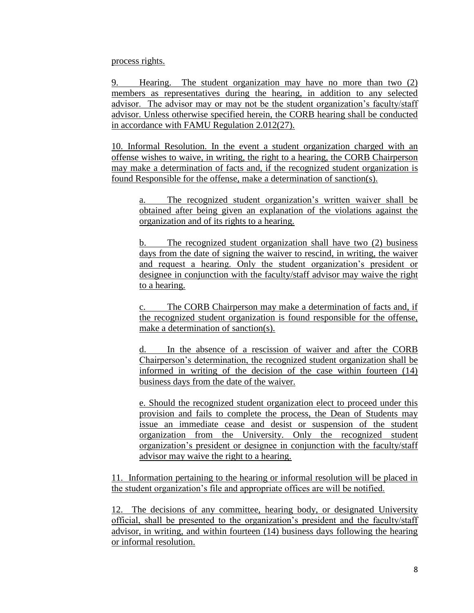process rights.

9. Hearing. The student organization may have no more than two (2) members as representatives during the hearing, in addition to any selected advisor. The advisor may or may not be the student organization's faculty/staff advisor. Unless otherwise specified herein, the CORB hearing shall be conducted in accordance with FAMU Regulation 2.012(27).

10. Informal Resolution. In the event a student organization charged with an offense wishes to waive, in writing, the right to a hearing, the CORB Chairperson may make a determination of facts and, if the recognized student organization is found Responsible for the offense, make a determination of sanction(s).

a. The recognized student organization's written waiver shall be obtained after being given an explanation of the violations against the organization and of its rights to a hearing.

The recognized student organization shall have two (2) business days from the date of signing the waiver to rescind, in writing, the waiver and request a hearing. Only the student organization's president or designee in conjunction with the faculty/staff advisor may waive the right to a hearing.

c. The CORB Chairperson may make a determination of facts and, if the recognized student organization is found responsible for the offense, make a determination of sanction(s).

d. In the absence of a rescission of waiver and after the CORB Chairperson's determination, the recognized student organization shall be informed in writing of the decision of the case within fourteen (14) business days from the date of the waiver.

e. Should the recognized student organization elect to proceed under this provision and fails to complete the process, the Dean of Students may issue an immediate cease and desist or suspension of the student organization from the University. Only the recognized student organization's president or designee in conjunction with the faculty/staff advisor may waive the right to a hearing.

11. Information pertaining to the hearing or informal resolution will be placed in the student organization's file and appropriate offices are will be notified.

12. The decisions of any committee, hearing body, or designated University official, shall be presented to the organization's president and the faculty/staff advisor, in writing, and within fourteen (14) business days following the hearing or informal resolution.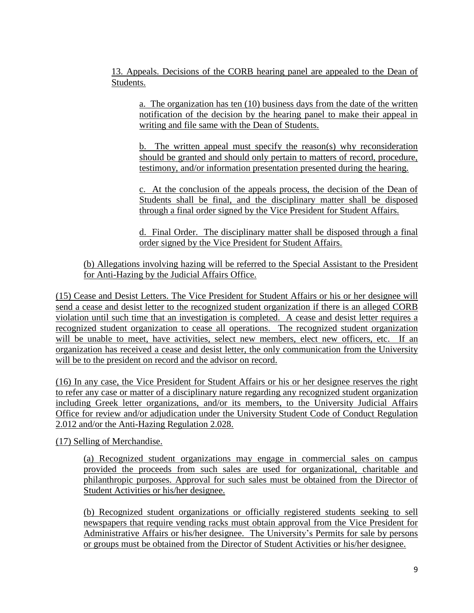13. Appeals. Decisions of the CORB hearing panel are appealed to the Dean of Students.

a. The organization has ten (10) business days from the date of the written notification of the decision by the hearing panel to make their appeal in writing and file same with the Dean of Students.

b. The written appeal must specify the reason(s) why reconsideration should be granted and should only pertain to matters of record, procedure, testimony, and/or information presentation presented during the hearing.

c. At the conclusion of the appeals process, the decision of the Dean of Students shall be final, and the disciplinary matter shall be disposed through a final order signed by the Vice President for Student Affairs.

d. Final Order. The disciplinary matter shall be disposed through a final order signed by the Vice President for Student Affairs.

(b) Allegations involving hazing will be referred to the Special Assistant to the President for Anti-Hazing by the Judicial Affairs Office.

(15) Cease and Desist Letters. The Vice President for Student Affairs or his or her designee will send a cease and desist letter to the recognized student organization if there is an alleged CORB violation until such time that an investigation is completed. A cease and desist letter requires a recognized student organization to cease all operations. The recognized student organization will be unable to meet, have activities, select new members, elect new officers, etc. If an organization has received a cease and desist letter, the only communication from the University will be to the president on record and the advisor on record.

(16) In any case, the Vice President for Student Affairs or his or her designee reserves the right to refer any case or matter of a disciplinary nature regarding any recognized student organization including Greek letter organizations, and/or its members, to the University Judicial Affairs Office for review and/or adjudication under the University Student Code of Conduct Regulation 2.012 and/or the Anti-Hazing Regulation 2.028.

(17) Selling of Merchandise.

(a) Recognized student organizations may engage in commercial sales on campus provided the proceeds from such sales are used for organizational, charitable and philanthropic purposes. Approval for such sales must be obtained from the Director of Student Activities or his/her designee.

(b) Recognized student organizations or officially registered students seeking to sell newspapers that require vending racks must obtain approval from the Vice President for Administrative Affairs or his/her designee. The University's Permits for sale by persons or groups must be obtained from the Director of Student Activities or his/her designee.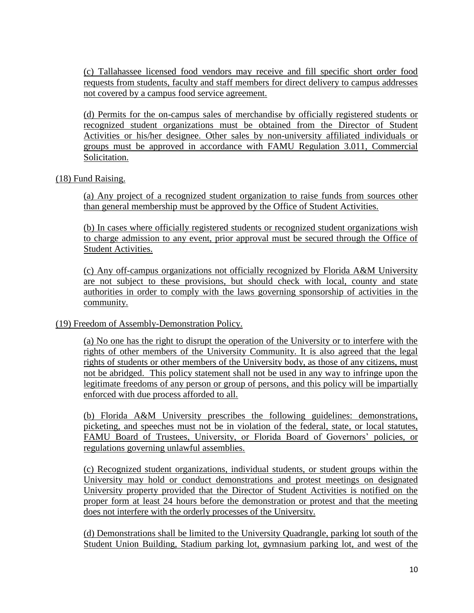(c) Tallahassee licensed food vendors may receive and fill specific short order food requests from students, faculty and staff members for direct delivery to campus addresses not covered by a campus food service agreement.

(d) Permits for the on-campus sales of merchandise by officially registered students or recognized student organizations must be obtained from the Director of Student Activities or his/her designee. Other sales by non-university affiliated individuals or groups must be approved in accordance with FAMU Regulation 3.011, Commercial Solicitation.

#### (18) Fund Raising.

(a) Any project of a recognized student organization to raise funds from sources other than general membership must be approved by the Office of Student Activities.

(b) In cases where officially registered students or recognized student organizations wish to charge admission to any event, prior approval must be secured through the Office of Student Activities.

(c) Any off-campus organizations not officially recognized by Florida A&M University are not subject to these provisions, but should check with local, county and state authorities in order to comply with the laws governing sponsorship of activities in the community.

### (19) Freedom of Assembly-Demonstration Policy.

(a) No one has the right to disrupt the operation of the University or to interfere with the rights of other members of the University Community. It is also agreed that the legal rights of students or other members of the University body, as those of any citizens, must not be abridged. This policy statement shall not be used in any way to infringe upon the legitimate freedoms of any person or group of persons, and this policy will be impartially enforced with due process afforded to all.

(b) Florida A&M University prescribes the following guidelines: demonstrations, picketing, and speeches must not be in violation of the federal, state, or local statutes, FAMU Board of Trustees, University, or Florida Board of Governors' policies, or regulations governing unlawful assemblies.

(c) Recognized student organizations, individual students, or student groups within the University may hold or conduct demonstrations and protest meetings on designated University property provided that the Director of Student Activities is notified on the proper form at least 24 hours before the demonstration or protest and that the meeting does not interfere with the orderly processes of the University.

(d) Demonstrations shall be limited to the University Quadrangle, parking lot south of the Student Union Building, Stadium parking lot, gymnasium parking lot, and west of the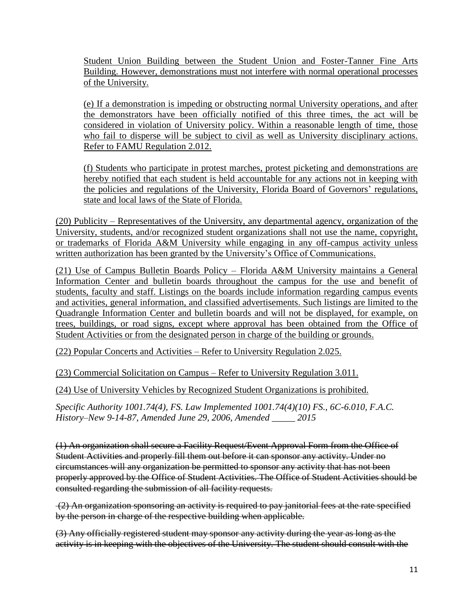Student Union Building between the Student Union and Foster-Tanner Fine Arts Building. However, demonstrations must not interfere with normal operational processes of the University.

(e) If a demonstration is impeding or obstructing normal University operations, and after the demonstrators have been officially notified of this three times, the act will be considered in violation of University policy. Within a reasonable length of time, those who fail to disperse will be subject to civil as well as University disciplinary actions. Refer to FAMU Regulation 2.012.

(f) Students who participate in protest marches, protest picketing and demonstrations are hereby notified that each student is held accountable for any actions not in keeping with the policies and regulations of the University, Florida Board of Governors' regulations, state and local laws of the State of Florida.

(20) Publicity – Representatives of the University, any departmental agency, organization of the University, students, and/or recognized student organizations shall not use the name, copyright, or trademarks of Florida A&M University while engaging in any off-campus activity unless written authorization has been granted by the University's Office of Communications.

(21) Use of Campus Bulletin Boards Policy – Florida A&M University maintains a General Information Center and bulletin boards throughout the campus for the use and benefit of students, faculty and staff. Listings on the boards include information regarding campus events and activities, general information, and classified advertisements. Such listings are limited to the Quadrangle Information Center and bulletin boards and will not be displayed, for example, on trees, buildings, or road signs, except where approval has been obtained from the Office of Student Activities or from the designated person in charge of the building or grounds.

(22) Popular Concerts and Activities – Refer to University Regulation 2.025.

(23) Commercial Solicitation on Campus – Refer to University Regulation 3.011.

(24) Use of University Vehicles by Recognized Student Organizations is prohibited.

*Specific Authority 1001.74(4), FS. Law Implemented 1001.74(4)(10) FS., 6C-6.010, F.A.C. History–New 9-14-87, Amended June 29, 2006, Amended \_\_\_\_\_ 2015*

(1) An organization shall secure a Facility Request/Event Approval Form from the Office of Student Activities and properly fill them out before it can sponsor any activity. Under no circumstances will any organization be permitted to sponsor any activity that has not been properly approved by the Office of Student Activities. The Office of Student Activities should be consulted regarding the submission of all facility requests.

(2) An organization sponsoring an activity is required to pay janitorial fees at the rate specified by the person in charge of the respective building when applicable.

(3) Any officially registered student may sponsor any activity during the year as long as the activity is in keeping with the objectives of the University. The student should consult with the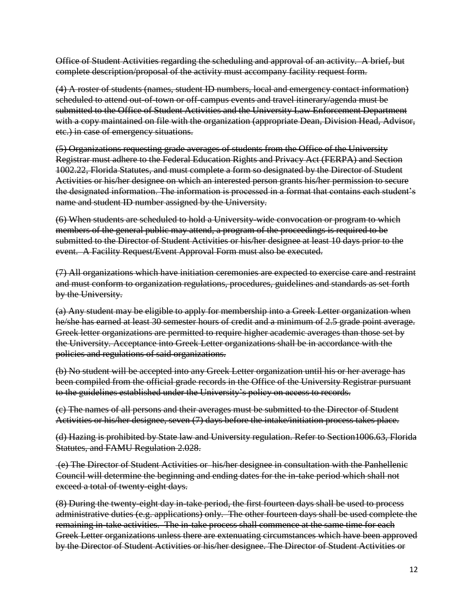Office of Student Activities regarding the scheduling and approval of an activity. A brief, but complete description/proposal of the activity must accompany facility request form.

(4) A roster of students (names, student ID numbers, local and emergency contact information) scheduled to attend out-of-town or off-campus events and travel itinerary/agenda must be submitted to the Office of Student Activities and the University Law Enforcement Department with a copy maintained on file with the organization (appropriate Dean, Division Head, Advisor, etc.) in case of emergency situations.

(5) Organizations requesting grade averages of students from the Office of the University Registrar must adhere to the Federal Education Rights and Privacy Act (FERPA) and Section 1002.22, Florida Statutes, and must complete a form so designated by the Director of Student Activities or his/her designee on which an interested person grants his/her permission to secure the designated information. The information is processed in a format that contains each student's name and student ID number assigned by the University.

(6) When students are scheduled to hold a University-wide convocation or program to which members of the general public may attend, a program of the proceedings is required to be submitted to the Director of Student Activities or his/her designee at least 10 days prior to the event. A Facility Request/Event Approval Form must also be executed.

(7) All organizations which have initiation ceremonies are expected to exercise care and restraint and must conform to organization regulations, procedures, guidelines and standards as set forth by the University.

(a) Any student may be eligible to apply for membership into a Greek Letter organization when he/she has earned at least 30 semester hours of credit and a minimum of 2.5 grade point average. Greek letter organizations are permitted to require higher academic averages than those set by the University. Acceptance into Greek Letter organizations shall be in accordance with the policies and regulations of said organizations.

(b) No student will be accepted into any Greek Letter organization until his or her average has been compiled from the official grade records in the Office of the University Registrar pursuant to the guidelines established under the University's policy on access to records.

(c) The names of all persons and their averages must be submitted to the Director of Student Activities or his/her designee, seven (7) days before the intake/initiation process takes place.

(d) Hazing is prohibited by State law and University regulation. Refer to Section1006.63, Florida Statutes, and FAMU Regulation 2.028.

(e) The Director of Student Activities or his/her designee in consultation with the Panhellenic Council will determine the beginning and ending dates for the in-take period which shall not exceed a total of twenty-eight days.

(8) During the twenty-eight day in-take period, the first fourteen days shall be used to process administrative duties (e.g. applications) only. The other fourteen days shall be used complete the remaining in-take activities. The in-take process shall commence at the same time for each Greek Letter organizations unless there are extenuating circumstances which have been approved by the Director of Student Activities or his/her designee. The Director of Student Activities or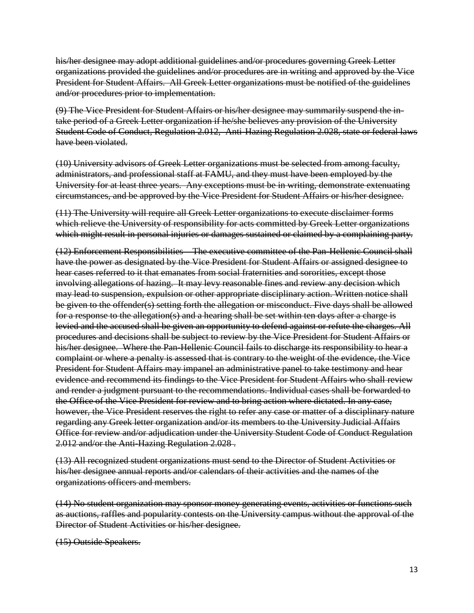his/her designee may adopt additional guidelines and/or procedures governing Greek Letter organizations provided the guidelines and/or procedures are in writing and approved by the Vice President for Student Affairs. All Greek Letter organizations must be notified of the guidelines and/or procedures prior to implementation.

(9) The Vice President for Student Affairs or his/her designee may summarily suspend the intake period of a Greek Letter organization if he/she believes any provision of the University Student Code of Conduct, Regulation 2.012, Anti-Hazing Regulation 2.028, state or federal laws have been violated.

(10) University advisors of Greek Letter organizations must be selected from among faculty, administrators, and professional staff at FAMU, and they must have been employed by the University for at least three years. Any exceptions must be in writing, demonstrate extenuating circumstances, and be approved by the Vice President for Student Affairs or his/her designee.

(11) The University will require all Greek Letter organizations to execute disclaimer forms which relieve the University of responsibility for acts committed by Greek Letter organizations which might result in personal injuries or damages sustained or claimed by a complaining party.

(12) Enforcement Responsibilities – The executive committee of the Pan-Hellenic Council shall have the power as designated by the Vice President for Student Affairs or assigned designee to hear cases referred to it that emanates from social fraternities and sororities, except those involving allegations of hazing. It may levy reasonable fines and review any decision which may lead to suspension, expulsion or other appropriate disciplinary action. Written notice shall be given to the offender(s) setting forth the allegation or misconduct. Five days shall be allowed for a response to the allegation(s) and a hearing shall be set within ten days after a charge is levied and the accused shall be given an opportunity to defend against or refute the charges. All procedures and decisions shall be subject to review by the Vice President for Student Affairs or his/her designee. Where the Pan-Hellenic Council fails to discharge its responsibility to hear a complaint or where a penalty is assessed that is contrary to the weight of the evidence, the Vice President for Student Affairs may impanel an administrative panel to take testimony and hear evidence and recommend its findings to the Vice President for Student Affairs who shall review and render a judgment pursuant to the recommendations. Individual cases shall be forwarded to the Office of the Vice President for review and to bring action where dictated. In any case, however, the Vice President reserves the right to refer any case or matter of a disciplinary nature regarding any Greek letter organization and/or its members to the University Judicial Affairs Office for review and/or adjudication under the University Student Code of Conduct Regulation 2.012 and/or the Anti-Hazing Regulation 2.028 .

(13) All recognized student organizations must send to the Director of Student Activities or his/her designee annual reports and/or calendars of their activities and the names of the organizations officers and members.

(14) No student organization may sponsor money generating events, activities or functions such as auctions, raffles and popularity contests on the University campus without the approval of the Director of Student Activities or his/her designee.

(15) Outside Speakers.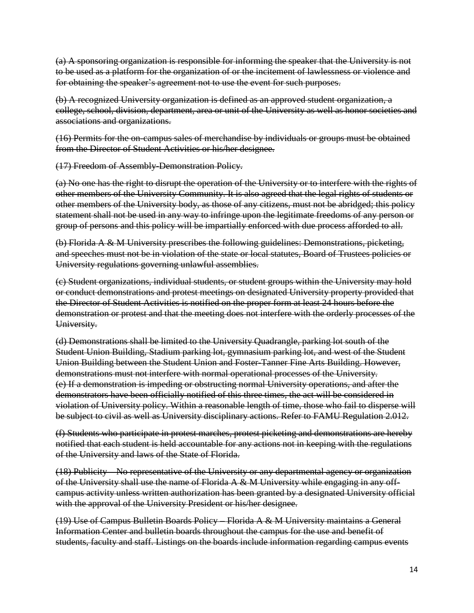(a) A sponsoring organization is responsible for informing the speaker that the University is not to be used as a platform for the organization of or the incitement of lawlessness or violence and for obtaining the speaker's agreement not to use the event for such purposes.

(b) A recognized University organization is defined as an approved student organization, a college, school, division, department, area or unit of the University as well as honor societies and associations and organizations.

(16) Permits for the on-campus sales of merchandise by individuals or groups must be obtained from the Director of Student Activities or his/her designee.

(17) Freedom of Assembly-Demonstration Policy.

(a) No one has the right to disrupt the operation of the University or to interfere with the rights of other members of the University Community. It is also agreed that the legal rights of students or other members of the University body, as those of any citizens, must not be abridged; this policy statement shall not be used in any way to infringe upon the legitimate freedoms of any person or group of persons and this policy will be impartially enforced with due process afforded to all.

(b) Florida A & M University prescribes the following guidelines: Demonstrations, picketing, and speeches must not be in violation of the state or local statutes, Board of Trustees policies or University regulations governing unlawful assemblies.

(c) Student organizations, individual students, or student groups within the University may hold or conduct demonstrations and protest meetings on designated University property provided that the Director of Student Activities is notified on the proper form at least 24 hours before the demonstration or protest and that the meeting does not interfere with the orderly processes of the University.

(d) Demonstrations shall be limited to the University Quadrangle, parking lot south of the Student Union Building, Stadium parking lot, gymnasium parking lot, and west of the Student Union Building between the Student Union and Foster-Tanner Fine Arts Building. However, demonstrations must not interfere with normal operational processes of the University. (e) If a demonstration is impeding or obstructing normal University operations, and after the demonstrators have been officially notified of this three times, the act will be considered in violation of University policy. Within a reasonable length of time, those who fail to disperse will be subject to civil as well as University disciplinary actions. Refer to FAMU Regulation 2.012.

(f) Students who participate in protest marches, protest picketing and demonstrations are hereby notified that each student is held accountable for any actions not in keeping with the regulations of the University and laws of the State of Florida.

(18) Publicity – No representative of the University or any departmental agency or organization of the University shall use the name of Florida  $A \& M$  University while engaging in any offcampus activity unless written authorization has been granted by a designated University official with the approval of the University President or his/her designee.

(19) Use of Campus Bulletin Boards Policy – Florida A & M University maintains a General Information Center and bulletin boards throughout the campus for the use and benefit of students, faculty and staff. Listings on the boards include information regarding campus events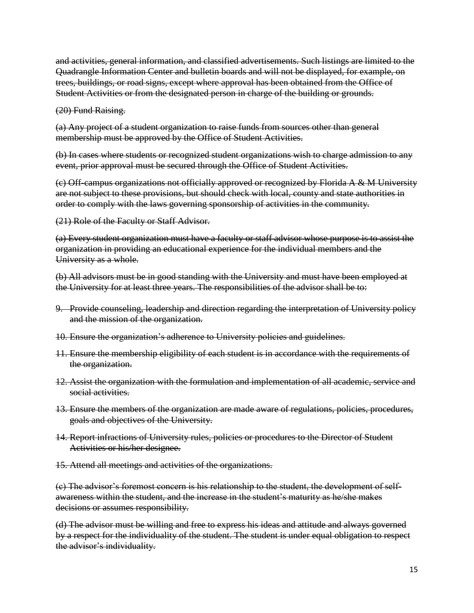and activities, general information, and classified advertisements. Such listings are limited to the Quadrangle Information Center and bulletin boards and will not be displayed, for example, on trees, buildings, or road signs, except where approval has been obtained from the Office of Student Activities or from the designated person in charge of the building or grounds.

(20) Fund Raising.

(a) Any project of a student organization to raise funds from sources other than general membership must be approved by the Office of Student Activities.

(b) In cases where students or recognized student organizations wish to charge admission to any event, prior approval must be secured through the Office of Student Activities.

(c) Off-campus organizations not officially approved or recognized by Florida A & M University are not subject to these provisions, but should check with local, county and state authorities in order to comply with the laws governing sponsorship of activities in the community.

(21) Role of the Faculty or Staff Advisor.

(a) Every student organization must have a faculty or staff advisor whose purpose is to assist the organization in providing an educational experience for the individual members and the University as a whole.

(b) All advisors must be in good standing with the University and must have been employed at the University for at least three years. The responsibilities of the advisor shall be to:

- 9. Provide counseling, leadership and direction regarding the interpretation of University policy and the mission of the organization.
- 10. Ensure the organization's adherence to University policies and guidelines.
- 11. Ensure the membership eligibility of each student is in accordance with the requirements of the organization.
- 12. Assist the organization with the formulation and implementation of all academic, service and social activities.
- 13. Ensure the members of the organization are made aware of regulations, policies, procedures, goals and objectives of the University.
- 14. Report infractions of University rules, policies or procedures to the Director of Student Activities or his/her designee.
- 15. Attend all meetings and activities of the organizations.

(c) The advisor's foremost concern is his relationship to the student, the development of selfawareness within the student, and the increase in the student's maturity as he/she makes decisions or assumes responsibility.

(d) The advisor must be willing and free to express his ideas and attitude and always governed by a respect for the individuality of the student. The student is under equal obligation to respect the advisor's individuality.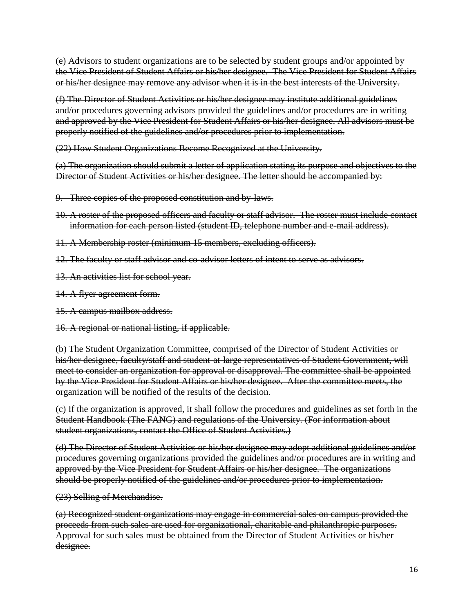(e) Advisors to student organizations are to be selected by student groups and/or appointed by the Vice President of Student Affairs or his/her designee. The Vice President for Student Affairs or his/her designee may remove any advisor when it is in the best interests of the University.

(f) The Director of Student Activities or his/her designee may institute additional guidelines and/or procedures governing advisors provided the guidelines and/or procedures are in writing and approved by the Vice President for Student Affairs or his/her designee. All advisors must be properly notified of the guidelines and/or procedures prior to implementation.

(22) How Student Organizations Become Recognized at the University.

(a) The organization should submit a letter of application stating its purpose and objectives to the Director of Student Activities or his/her designee. The letter should be accompanied by:

- 9. Three copies of the proposed constitution and by-laws.
- 10. A roster of the proposed officers and faculty or staff advisor. The roster must include contact information for each person listed (student ID, telephone number and e-mail address).
- 11. A Membership roster (minimum 15 members, excluding officers).
- 12. The faculty or staff advisor and co-advisor letters of intent to serve as advisors.
- 13. An activities list for school year.
- 14. A flyer agreement form.
- 15. A campus mailbox address.
- 16. A regional or national listing, if applicable.

(b) The Student Organization Committee, comprised of the Director of Student Activities or his/her designee, faculty/staff and student at large representatives of Student Government, will meet to consider an organization for approval or disapproval. The committee shall be appointed by the Vice President for Student Affairs or his/her designee. After the committee meets, the organization will be notified of the results of the decision.

(c) If the organization is approved, it shall follow the procedures and guidelines as set forth in the Student Handbook (The FANG) and regulations of the University. (For information about student organizations, contact the Office of Student Activities.)

(d) The Director of Student Activities or his/her designee may adopt additional guidelines and/or procedures governing organizations provided the guidelines and/or procedures are in writing and approved by the Vice President for Student Affairs or his/her designee. The organizations should be properly notified of the guidelines and/or procedures prior to implementation.

(23) Selling of Merchandise.

(a) Recognized student organizations may engage in commercial sales on campus provided the proceeds from such sales are used for organizational, charitable and philanthropic purposes. Approval for such sales must be obtained from the Director of Student Activities or his/her designee.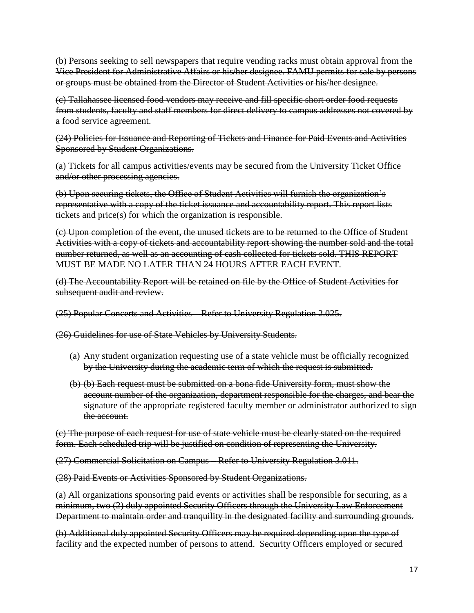(b) Persons seeking to sell newspapers that require vending racks must obtain approval from the Vice President for Administrative Affairs or his/her designee. FAMU permits for sale by persons or groups must be obtained from the Director of Student Activities or his/her designee.

(c) Tallahassee licensed food vendors may receive and fill specific short order food requests from students, faculty and staff members for direct delivery to campus addresses not covered by a food service agreement.

(24) Policies for Issuance and Reporting of Tickets and Finance for Paid Events and Activities Sponsored by Student Organizations.

(a) Tickets for all campus activities/events may be secured from the University Ticket Office and/or other processing agencies.

(b) Upon securing tickets, the Office of Student Activities will furnish the organization's representative with a copy of the ticket issuance and accountability report. This report lists tickets and price(s) for which the organization is responsible.

(c) Upon completion of the event, the unused tickets are to be returned to the Office of Student Activities with a copy of tickets and accountability report showing the number sold and the total number returned, as well as an accounting of cash collected for tickets sold. THIS REPORT MUST BE MADE NO LATER THAN 24 HOURS AFTER EACH EVENT.

(d) The Accountability Report will be retained on file by the Office of Student Activities for subsequent audit and review.

(25) Popular Concerts and Activities – Refer to University Regulation 2.025.

(26) Guidelines for use of State Vehicles by University Students.

- (a) Any student organization requesting use of a state vehicle must be officially recognized by the University during the academic term of which the request is submitted.
- (b) (b) Each request must be submitted on a bona fide University form, must show the account number of the organization, department responsible for the charges, and bear the signature of the appropriate registered faculty member or administrator authorized to sign the account.

(c) The purpose of each request for use of state vehicle must be clearly stated on the required form. Each scheduled trip will be justified on condition of representing the University.

(27) Commercial Solicitation on Campus – Refer to University Regulation 3.011.

(28) Paid Events or Activities Sponsored by Student Organizations.

(a) All organizations sponsoring paid events or activities shall be responsible for securing, as a minimum, two (2) duly appointed Security Officers through the University Law Enforcement Department to maintain order and tranquility in the designated facility and surrounding grounds.

(b) Additional duly appointed Security Officers may be required depending upon the type of facility and the expected number of persons to attend. Security Officers employed or secured